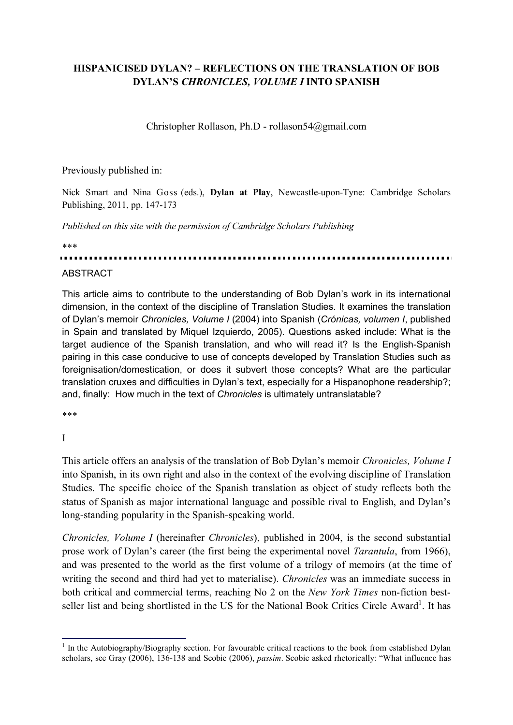## **HISPANICISED DYLAN? – REFLECTIONS ON THE TRANSLATION OF BOB DYLAN'S** *CHRONICLES, VOLUME I* **INTO SPANISH**

Christopher Rollason, Ph.D - [rollason54@gmail.com](mailto:rollason54@gmail.com)

Previously published in:

Nick Smart and Nina Goss (eds.), **Dylan at Play**, Newcastle-upon-Tyne: Cambridge Scholars Publishing, 2011, pp. 147-173

*Published on this site with the permission of Cambridge Scholars Publishing*

\*\*\*

## **................** ABSTRACT

This article aims to contribute to the understanding of Bob Dylan's work in its international dimension, in the context of the discipline of Translation Studies. It examines the translation of Dylan's memoir *Chronicles, Volume I* (2004) into Spanish (*Crónicas, volumen I*, published in Spain and translated by Miquel Izquierdo, 2005). Questions asked include: What is the target audience of the Spanish translation, and who will read it? Is the English-Spanish pairing in this case conducive to use of concepts developed by Translation Studies such as foreignisation/domestication, or does it subvert those concepts? What are the particular translation cruxes and difficulties in Dylan's text, especially for a Hispanophone readership?; and, finally: How much in the text of *Chronicles* is ultimately untranslatable?

\*\*\*

I

This article offers an analysis of the translation of Bob Dylan's memoir *Chronicles, Volume I* into Spanish, in its own right and also in the context of the evolving discipline of Translation Studies. The specific choice of the Spanish translation as object of study reflects both the status of Spanish as major international language and possible rival to English, and Dylan's long-standing popularity in the Spanish-speaking world.

*Chronicles, Volume I* (hereinafter *Chronicles*), published in 2004, is the second substantial prose work of Dylan's career (the first being the experimental novel *Tarantula*, from 1966), and was presented to the world as the first volume of a trilogy of memoirs (at the time of writing the second and third had yet to materialise). *Chronicles* was an immediate success in both critical and commercial terms, reaching No 2 on the *New York Times* non-fiction best-seller list and being shortlisted in the US for the National Book Critics Circle Award<sup>[1](#page-0-0)</sup>. It has

<span id="page-0-0"></span> $\overline{a}$ <sup>1</sup> In the Autobiography/Biography section. For favourable critical reactions to the book from established Dylan scholars, see Gray (2006), 136-138 and Scobie (2006), *passim*. Scobie asked rhetorically: "What influence has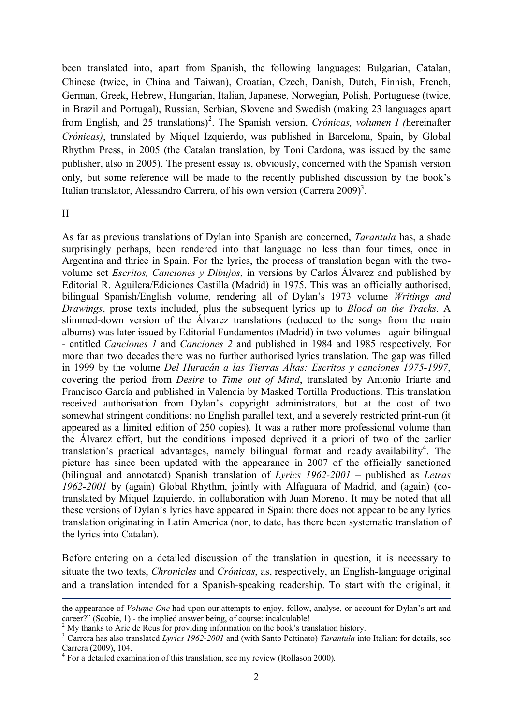been translated into, apart from Spanish, the following languages: Bulgarian, Catalan, Chinese (twice, in China and Taiwan), Croatian, Czech, Danish, Dutch, Finnish, French, German, Greek, Hebrew, Hungarian, Italian, Japanese, Norwegian, Polish, Portuguese (twice, in Brazil and Portugal), Russian, Serbian, Slovene and Swedish (making 23 languages apart from English, and [2](#page-1-0)5 translations)<sup>2</sup>. The Spanish version, *Crónicas, volumen I (hereinafter Crónicas)*, translated by Miquel Izquierdo, was published in Barcelona, Spain, by Global Rhythm Press, in 2005 (the Catalan translation, by Toni Cardona, was issued by the same publisher, also in 2005). The present essay is, obviously, concerned with the Spanish version only, but some reference will be made to the recently published discussion by the book's Italian translator, Alessandro Carrera, of his own version (Carrera  $2009$ )<sup>[3](#page-1-1)</sup>.

## II

 $\overline{a}$ 

As far as previous translations of Dylan into Spanish are concerned, *Tarantula* has, a shade surprisingly perhaps, been rendered into that language no less than four times, once in Argentina and thrice in Spain. For the lyrics, the process of translation began with the twovolume set *Escritos, Canciones y Dibujos*, in versions by Carlos Álvarez and published by Editorial R. Aguilera/Ediciones Castilla (Madrid) in 1975. This was an officially authorised, bilingual Spanish/English volume, rendering all of Dylan's 1973 volume *Writings and Drawings*, prose texts included, plus the subsequent lyrics up to *Blood on the Tracks*. A slimmed-down version of the Álvarez translations (reduced to the songs from the main albums) was later issued by Editorial Fundamentos (Madrid) in two volumes - again bilingual - entitled *Canciones 1* and *Canciones 2* and published in 1984 and 1985 respectively. For more than two decades there was no further authorised lyrics translation. The gap was filled in 1999 by the volume *Del Huracán a las Tierras Altas: Escritos y canciones 1975-1997*, covering the period from *Desire* to *Time out of Mind*, translated by Antonio Iriarte and Francisco García and published in Valencia by Masked Tortilla Productions. This translation received authorisation from Dylan's copyright administrators, but at the cost of two somewhat stringent conditions: no English parallel text, and a severely restricted print-run (it appeared as a limited edition of 250 copies). It was a rather more professional volume than the Álvarez effort, but the conditions imposed deprived it a priori of two of the earlier translation's practical advantages, namely bilingual format and ready availability<sup>[4](#page-1-2)</sup>. The picture has since been updated with the appearance in 2007 of the officially sanctioned (bilingual and annotated) Spanish translation of *Lyrics 1962-2001* – published as *Letras 1962-2001* by (again) Global Rhythm, jointly with Alfaguara of Madrid, and (again) (cotranslated by Miquel Izquierdo, in collaboration with Juan Moreno. It may be noted that all these versions of Dylan's lyrics have appeared in Spain: there does not appear to be any lyrics translation originating in Latin America (nor, to date, has there been systematic translation of the lyrics into Catalan).

Before entering on a detailed discussion of the translation in question, it is necessary to situate the two texts, *Chronicles* and *Crónicas*, as, respectively, an English-language original and a translation intended for a Spanish-speaking readership. To start with the original, it

the appearance of *Volume One* had upon our attempts to enjoy, follow, analyse, or account for Dylan's art and career?" (Scobie, 1) - the implied answer being, of course: incalculable!

<span id="page-1-0"></span><sup>&</sup>lt;sup>2</sup> My thanks to Arie de Reus for providing information on the book's translation history.

<span id="page-1-1"></span><sup>3</sup> Carrera has also translated *Lyrics 1962-2001* and (with Santo Pettinato) *Tarantula* into Italian: for details, see Carrera (2009), 104.

<span id="page-1-2"></span><sup>&</sup>lt;sup>4</sup> For a detailed examination of this translation, see my review (Rollason 2000).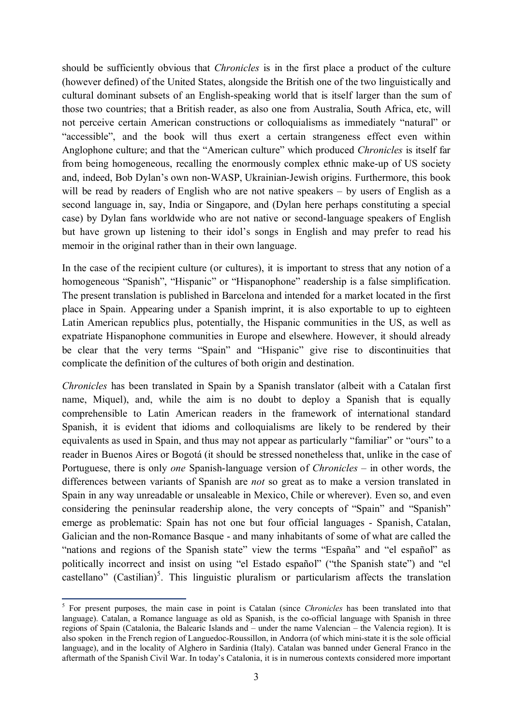should be sufficiently obvious that *Chronicles* is in the first place a product of the culture (however defined) of the United States, alongside the British one of the two linguistically and cultural dominant subsets of an English-speaking world that is itself larger than the sum of those two countries; that a British reader, as also one from Australia, South Africa, etc, will not perceive certain American constructions or colloquialisms as immediately "natural" or "accessible", and the book will thus exert a certain strangeness effect even within Anglophone culture; and that the "American culture" which produced *Chronicles* is itself far from being homogeneous, recalling the enormously complex ethnic make-up of US society and, indeed, Bob Dylan's own non-WASP, Ukrainian-Jewish origins. Furthermore, this book will be read by readers of English who are not native speakers – by users of English as a second language in, say, India or Singapore, and (Dylan here perhaps constituting a special case) by Dylan fans worldwide who are not native or second-language speakers of English but have grown up listening to their idol's songs in English and may prefer to read his memoir in the original rather than in their own language.

In the case of the recipient culture (or cultures), it is important to stress that any notion of a homogeneous "Spanish", "Hispanic" or "Hispanophone" readership is a false simplification. The present translation is published in Barcelona and intended for a market located in the first place in Spain. Appearing under a Spanish imprint, it is also exportable to up to eighteen Latin American republics plus, potentially, the Hispanic communities in the US, as well as expatriate Hispanophone communities in Europe and elsewhere. However, it should already be clear that the very terms "Spain" and "Hispanic" give rise to discontinuities that complicate the definition of the cultures of both origin and destination.

*Chronicles* has been translated in Spain by a Spanish translator (albeit with a Catalan first name, Miquel), and, while the aim is no doubt to deploy a Spanish that is equally comprehensible to Latin American readers in the framework of international standard Spanish, it is evident that idioms and colloquialisms are likely to be rendered by their equivalents as used in Spain, and thus may not appear as particularly "familiar" or "ours" to a reader in Buenos Aires or Bogotá (it should be stressed nonetheless that, unlike in the case of Portuguese, there is only *one* Spanish-language version of *Chronicles* – in other words, the differences between variants of Spanish are *not* so great as to make a version translated in Spain in any way unreadable or unsaleable in Mexico, Chile or wherever). Even so, and even considering the peninsular readership alone, the very concepts of "Spain" and "Spanish" emerge as problematic: Spain has not one but four official languages - Spanish, Catalan, Galician and the non-Romance Basque - and many inhabitants of some of what are called the "nations and regions of the Spanish state" view the terms "España" and "el español" as politically incorrect and insist on using "el Estado español" ("the Spanish state") and "el castellano" (Castilian)<sup>[5](#page-2-0)</sup>. This linguistic pluralism or particularism affects the translation

<span id="page-2-0"></span> $\overline{a}$ <sup>5</sup> For present purposes, the main case in point is Catalan (since *Chronicles* has been translated into that language). Catalan, a Romance language as old as Spanish, is the co-official language with Spanish in three regions of Spain (Catalonia, the Balearic Islands and – under the name Valencian – the Valencia region). It is also spoken in the French region of Languedoc-Roussillon, in Andorra (of which mini-state it is the sole official language), and in the locality of Alghero in Sardinia (Italy). Catalan was banned under General Franco in the aftermath of the Spanish Civil War. In today's Catalonia, it is in numerous contexts considered more important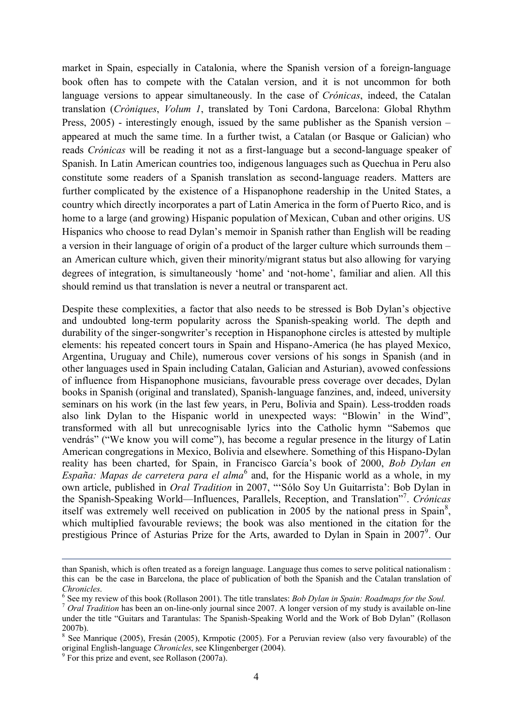market in Spain, especially in Catalonia, where the Spanish version of a foreign-language book often has to compete with the Catalan version, and it is not uncommon for both language versions to appear simultaneously. In the case of *Crónicas*, indeed, the Catalan translation (*Cròniques*, *Volum 1*, translated by Toni Cardona, Barcelona: Global Rhythm Press, 2005) - interestingly enough, issued by the same publisher as the Spanish version – appeared at much the same time. In a further twist, a Catalan (or Basque or Galician) who reads *Crónicas* will be reading it not as a first-language but a second-language speaker of Spanish. In Latin American countries too, indigenous languages such as Quechua in Peru also constitute some readers of a Spanish translation as second-language readers. Matters are further complicated by the existence of a Hispanophone readership in the United States, a country which directly incorporates a part of Latin America in the form of Puerto Rico, and is home to a large (and growing) Hispanic population of Mexican, Cuban and other origins. US Hispanics who choose to read Dylan's memoir in Spanish rather than English will be reading a version in their language of origin of a product of the larger culture which surrounds them – an American culture which, given their minority/migrant status but also allowing for varying degrees of integration, is simultaneously 'home' and 'not-home', familiar and alien. All this should remind us that translation is never a neutral or transparent act.

Despite these complexities, a factor that also needs to be stressed is Bob Dylan's objective and undoubted long-term popularity across the Spanish-speaking world. The depth and durability of the singer-songwriter's reception in Hispanophone circles is attested by multiple elements: his repeated concert tours in Spain and Hispano-America (he has played Mexico, Argentina, Uruguay and Chile), numerous cover versions of his songs in Spanish (and in other languages used in Spain including Catalan, Galician and Asturian), avowed confessions of influence from Hispanophone musicians, favourable press coverage over decades, Dylan books in Spanish (original and translated), Spanish-language fanzines, and, indeed, university seminars on his work (in the last few years, in Peru, Bolivia and Spain). Less-trodden roads also link Dylan to the Hispanic world in unexpected ways: "Blowin' in the Wind", transformed with all but unrecognisable lyrics into the Catholic hymn "Sabemos que vendrás" ("We know you will come"), has become a regular presence in the liturgy of Latin American congregations in Mexico, Bolivia and elsewhere. Something of this Hispano-Dylan reality has been charted, for Spain, in Francisco García's book of 2000, *Bob Dylan en*  España: Mapas de carretera para el alma<sup>[6](#page-3-0)</sup> and, for the Hispanic world as a whole, in my own article, published in *Oral Tradition* in 2007, "'Sólo Soy Un Guitarrista': Bob Dylan in the Spanish-Speaking World—Influences, Parallels, Reception, and Translation" [7](#page-3-1) . *Crónicas* itself was extremely well received on publication in 2005 by the national press in Spain<sup>[8](#page-3-2)</sup>, which multiplied favourable reviews; the book was also mentioned in the citation for the prestigious Prince of Asturias Prize for the Arts, awarded to Dylan in Spain in 2007<sup>[9](#page-3-3)</sup>. Our

than Spanish, which is often treated as a foreign language. Language thus comes to serve political nationalism : this can be the case in Barcelona, the place of publication of both the Spanish and the Catalan translation of *Chronicles*.

<span id="page-3-0"></span><sup>6</sup> See my review of this book (Rollason 2001). The title translates: *Bob Dylan in Spain: Roadmaps for the Soul.*

<span id="page-3-1"></span><sup>&</sup>lt;sup>7</sup> *Oral Tradition* has been an on-line-only journal since 2007. A longer version of my study is available on-line under the title "Guitars and Tarantulas: The Spanish-Speaking World and the Work of Bob Dylan" (Rollason 2007b).

<span id="page-3-2"></span><sup>&</sup>lt;sup>8</sup> See Manrique (2005), Fresán (2005), Krmpotic (2005). For a Peruvian review (also very favourable) of the original English-language *Chronicles*, see Klingenberger (2004).

<span id="page-3-3"></span><sup>9</sup> For this prize and event, see Rollason (2007a).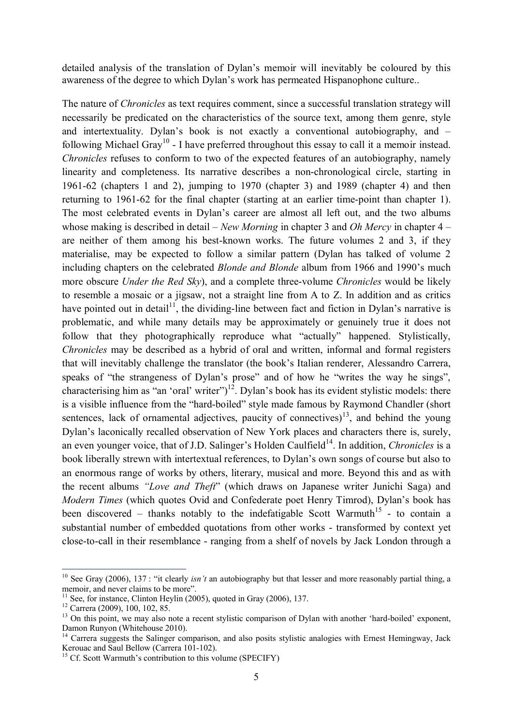detailed analysis of the translation of Dylan's memoir will inevitably be coloured by this awareness of the degree to which Dylan's work has permeated Hispanophone culture..

The nature of *Chronicles* as text requires comment, since a successful translation strategy will necessarily be predicated on the characteristics of the source text, among them genre, style and intertextuality. Dylan's book is not exactly a conventional autobiography, and – following Michael Gray<sup>[10](#page-4-0)</sup> - I have preferred throughout this essay to call it a memoir instead. *Chronicles* refuses to conform to two of the expected features of an autobiography, namely linearity and completeness. Its narrative describes a non-chronological circle, starting in 1961-62 (chapters 1 and 2), jumping to 1970 (chapter 3) and 1989 (chapter 4) and then returning to 1961-62 for the final chapter (starting at an earlier time-point than chapter 1). The most celebrated events in Dylan's career are almost all left out, and the two albums whose making is described in detail – *New Morning* in chapter 3 and *Oh Mercy* in chapter 4 – are neither of them among his best-known works. The future volumes 2 and 3, if they materialise, may be expected to follow a similar pattern (Dylan has talked of volume 2 including chapters on the celebrated *Blonde and Blonde* album from 1966 and 1990's much more obscure *Under the Red Sky*), and a complete three-volume *Chronicles* would be likely to resemble a mosaic or a jigsaw, not a straight line from A to Z. In addition and as critics have pointed out in detail<sup>[11](#page-4-1)</sup>, the dividing-line between fact and fiction in Dylan's narrative is problematic, and while many details may be approximately or genuinely true it does not follow that they photographically reproduce what "actually" happened. Stylistically, *Chronicles* may be described as a hybrid of oral and written, informal and formal registers that will inevitably challenge the translator (the book's Italian renderer, Alessandro Carrera, speaks of "the strangeness of Dylan's prose" and of how he "writes the way he sings", characterising him as "an 'oral' writer")<sup>[12](#page-4-2)</sup>. Dylan's book has its evident stylistic models: there is a visible influence from the "hard-boiled" style made famous by Raymond Chandler (short sentences, lack of ornamental adjectives, paucity of connectives) $13$ , and behind the young Dylan's laconically recalled observation of New York places and characters there is, surely, an even younger voice, that of J.D. Salinger's Holden Caulfield<sup>[14](#page-4-4)</sup>. In addition, *Chronicles* is a book liberally strewn with intertextual references, to Dylan's own songs of course but also to an enormous range of works by others, literary, musical and more. Beyond this and as with the recent albums *"Love and Theft*" (which draws on Japanese writer Junichi Saga) and *Modern Times* (which quotes Ovid and Confederate poet Henry Timrod), Dylan's book has been discovered – thanks notably to the indefatigable Scott Warmuth<sup>[15](#page-4-5)</sup> - to contain a substantial number of embedded quotations from other works - transformed by context yet close-to-call in their resemblance - ranging from a shelf of novels by Jack London through a

<span id="page-4-0"></span><sup>&</sup>lt;sup>10</sup> See Gray (2006), 137 : "it clearly *isn't* an autobiography but that lesser and more reasonably partial thing, a memoir, and never claims to be more".

<span id="page-4-1"></span> $11$  See, for instance, Clinton Heylin (2005), quoted in Gray (2006), 137.

<span id="page-4-2"></span> $12$  Carrera (2009), 100, 102, 85.

<span id="page-4-3"></span><sup>&</sup>lt;sup>13</sup> On this point, we may also note a recent stylistic comparison of Dylan with another 'hard-boiled' exponent, Damon Runyon (Whitehouse 2010).

<span id="page-4-4"></span><sup>&</sup>lt;sup>14</sup> Carrera suggests the Salinger comparison, and also posits stylistic analogies with Ernest Hemingway, Jack Kerouac and Saul Bellow (Carrera 101-102).

<span id="page-4-5"></span> $15$  Cf. Scott Warmuth's contribution to this volume (SPECIFY)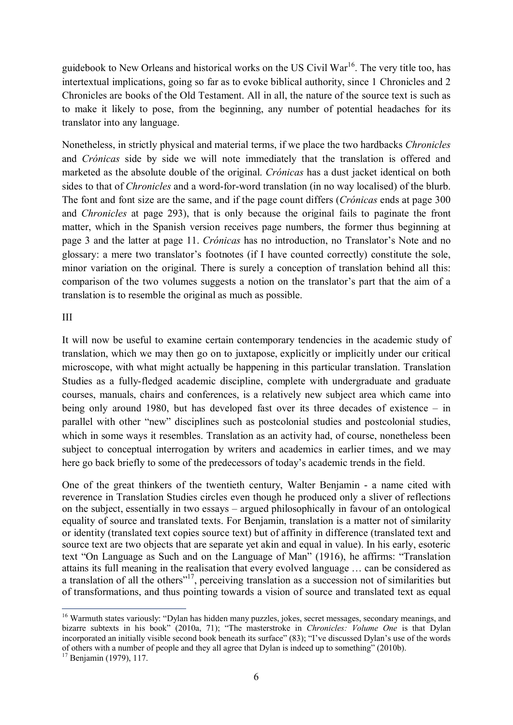guidebook to New Orleans and historical works on the US Civil War<sup>[16](#page-5-0)</sup>. The very title too, has intertextual implications, going so far as to evoke biblical authority, since 1 Chronicles and 2 Chronicles are books of the Old Testament. All in all, the nature of the source text is such as to make it likely to pose, from the beginning, any number of potential headaches for its translator into any language.

Nonetheless, in strictly physical and material terms, if we place the two hardbacks *Chronicles* and *Crónicas* side by side we will note immediately that the translation is offered and marketed as the absolute double of the original. *Crónicas* has a dust jacket identical on both sides to that of *Chronicles* and a word-for-word translation (in no way localised) of the blurb. The font and font size are the same, and if the page count differs (*Crónicas* ends at page 300 and *Chronicles* at page 293), that is only because the original fails to paginate the front matter, which in the Spanish version receives page numbers, the former thus beginning at page 3 and the latter at page 11. *Crónicas* has no introduction, no Translator's Note and no glossary: a mere two translator's footnotes (if I have counted correctly) constitute the sole, minor variation on the original. There is surely a conception of translation behind all this: comparison of the two volumes suggests a notion on the translator's part that the aim of a translation is to resemble the original as much as possible.

III

It will now be useful to examine certain contemporary tendencies in the academic study of translation, which we may then go on to juxtapose, explicitly or implicitly under our critical microscope, with what might actually be happening in this particular translation. Translation Studies as a fully-fledged academic discipline, complete with undergraduate and graduate courses, manuals, chairs and conferences, is a relatively new subject area which came into being only around 1980, but has developed fast over its three decades of existence – in parallel with other "new" disciplines such as postcolonial studies and postcolonial studies, which in some ways it resembles. Translation as an activity had, of course, nonetheless been subject to conceptual interrogation by writers and academics in earlier times, and we may here go back briefly to some of the predecessors of today's academic trends in the field.

One of the great thinkers of the twentieth century, Walter Benjamin - a name cited with reverence in Translation Studies circles even though he produced only a sliver of reflections on the subject, essentially in two essays – argued philosophically in favour of an ontological equality of source and translated texts. For Benjamin, translation is a matter not of similarity or identity (translated text copies source text) but of affinity in difference (translated text and source text are two objects that are separate yet akin and equal in value). In his early, esoteric text "On Language as Such and on the Language of Man" (1916), he affirms: "Translation attains its full meaning in the realisation that every evolved language … can be considered as a translation of all the others"<sup>[17](#page-5-1)</sup>, perceiving translation as a succession not of similarities but of transformations, and thus pointing towards a vision of source and translated text as equal

<span id="page-5-0"></span><sup>&</sup>lt;sup>16</sup> Warmuth states variously: "Dylan has hidden many puzzles, jokes, secret messages, secondary meanings, and bizarre subtexts in his book" (2010a, 71); "The masterstroke in *Chronicles: Volume One* is that Dylan incorporated an initially visible second book beneath its surface" (83); "I've discussed Dylan's use of the words of others with a number of people and they all agree that Dylan is indeed up to something" (2010b).

<span id="page-5-1"></span><sup>17</sup> Benjamin (1979), 117.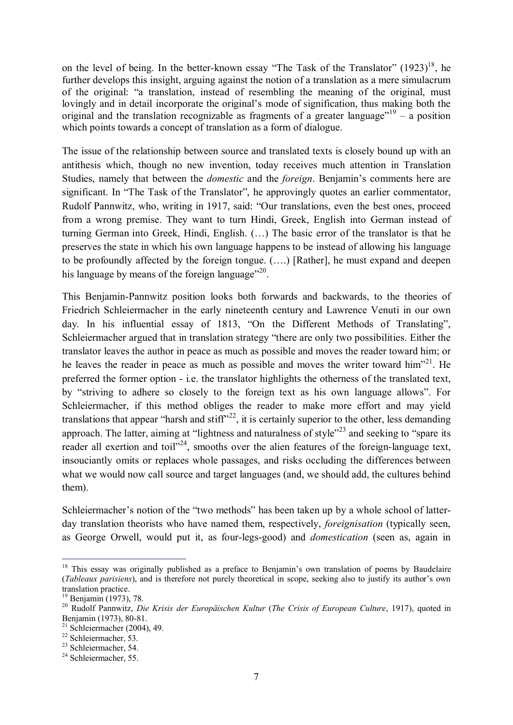on the level of being. In the better-known essay "The Task of the Translator"  $(1923)^{18}$  $(1923)^{18}$  $(1923)^{18}$ , he further develops this insight, arguing against the notion of a translation as a mere simulacrum of the original: "a translation, instead of resembling the meaning of the original, must lovingly and in detail incorporate the original's mode of signification, thus making both the original and the translation recognizable as fragments of a greater language<sup> $19$ </sup> – a position which points towards a concept of translation as a form of dialogue.

The issue of the relationship between source and translated texts is closely bound up with an antithesis which, though no new invention, today receives much attention in Translation Studies, namely that between the *domestic* and the *foreign*. Benjamin's comments here are significant. In "The Task of the Translator", he approvingly quotes an earlier commentator, Rudolf Pannwitz, who, writing in 1917, said: "Our translations, even the best ones, proceed from a wrong premise. They want to turn Hindi, Greek, English into German instead of turning German into Greek, Hindi, English. (…) The basic error of the translator is that he preserves the state in which his own language happens to be instead of allowing his language to be profoundly affected by the foreign tongue. (….) [Rather], he must expand and deepen his language by means of the foreign language"<sup>[20](#page-6-2)</sup>.

This Benjamin-Pannwitz position looks both forwards and backwards, to the theories of Friedrich Schleiermacher in the early nineteenth century and Lawrence Venuti in our own day. In his influential essay of 1813, "On the Different Methods of Translating", Schleiermacher argued that in translation strategy "there are only two possibilities. Either the translator leaves the author in peace as much as possible and moves the reader toward him; or he leaves the reader in peace as much as possible and moves the writer toward  $\text{him}^{21}$  $\text{him}^{21}$  $\text{him}^{21}$ . He preferred the former option - i.e. the translator highlights the otherness of the translated text, by "striving to adhere so closely to the foreign text as his own language allows". For Schleiermacher, if this method obliges the reader to make more effort and may yield translations that appear "harsh and stiff"<sup>[22](#page-6-4)</sup>, it is certainly superior to the other, less demanding approach. The latter, aiming at "lightness and naturalness of style"<sup>[23](#page-6-5)</sup> and seeking to "spare its reader all exertion and toil $1^{24}$  $1^{24}$  $1^{24}$ , smooths over the alien features of the foreign-language text, insouciantly omits or replaces whole passages, and risks occluding the differences between what we would now call source and target languages (and, we should add, the cultures behind them).

Schleiermacher's notion of the "two methods" has been taken up by a whole school of latterday translation theorists who have named them, respectively, *foreignisation* (typically seen, as George Orwell, would put it, as four-legs-good) and *domestication* (seen as, again in

<span id="page-6-0"></span> $\overline{a}$ <sup>18</sup> This essay was originally published as a preface to Benjamin's own translation of poems by Baudelaire (*Tableaux parisiens*), and is therefore not purely theoretical in scope, seeking also to justify its author's own translation practice.

<span id="page-6-1"></span><sup>19</sup> Benjamin (1973), 78.

<span id="page-6-2"></span><sup>20</sup> Rudolf Pannwitz, *Die Krisis der Europäischen Kultur* (*The Crisis of European Culture*, 1917), quoted in Benjamin (1973), 80-81.

<span id="page-6-3"></span> $21$  Schleiermacher (2004), 49.

<span id="page-6-4"></span><sup>22</sup> Schleiermacher, 53.

<span id="page-6-5"></span><sup>&</sup>lt;sup>23</sup> Schleiermacher, 54.

<span id="page-6-6"></span> $24$  Schleiermacher, 55.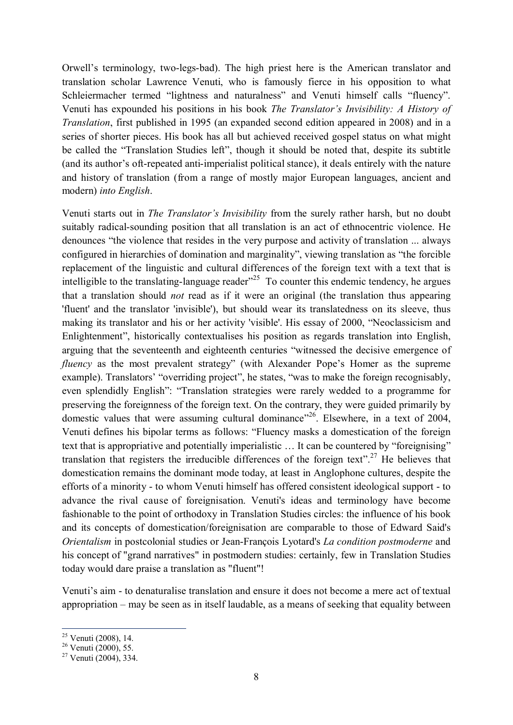Orwell's terminology, two-legs-bad). The high priest here is the American translator and translation scholar Lawrence Venuti, who is famously fierce in his opposition to what Schleiermacher termed "lightness and naturalness" and Venuti himself calls "fluency". Venuti has expounded his positions in his book *The Translator's Invisibility: A History of Translation*, first published in 1995 (an expanded second edition appeared in 2008) and in a series of shorter pieces. His book has all but achieved received gospel status on what might be called the "Translation Studies left", though it should be noted that, despite its subtitle (and its author's oft-repeated anti-imperialist political stance), it deals entirely with the nature and history of translation (from a range of mostly major European languages, ancient and modern) *into English*.

Venuti starts out in *The Translator's Invisibility* from the surely rather harsh, but no doubt suitably radical-sounding position that all translation is an act of ethnocentric violence. He denounces "the violence that resides in the very purpose and activity of translation ... always configured in hierarchies of domination and marginality", viewing translation as "the forcible replacement of the linguistic and cultural differences of the foreign text with a text that is intelligible to the translating-language reader<sup> $25$ </sup> To counter this endemic tendency, he argues that a translation should *not* read as if it were an original (the translation thus appearing 'fluent' and the translator 'invisible'), but should wear its translatedness on its sleeve, thus making its translator and his or her activity 'visible'. His essay of 2000, "Neoclassicism and Enlightenment", historically contextualises his position as regards translation into English, arguing that the seventeenth and eighteenth centuries "witnessed the decisive emergence of *fluency* as the most prevalent strategy" (with Alexander Pope's Homer as the supreme example). Translators' "overriding project", he states, "was to make the foreign recognisably, even splendidly English": "Translation strategies were rarely wedded to a programme for preserving the foreignness of the foreign text. On the contrary, they were guided primarily by domestic values that were assuming cultural dominance<sup> $20$ </sup>. Elsewhere, in a text of 2004, Venuti defines his bipolar terms as follows: "Fluency masks a domestication of the foreign text that is appropriative and potentially imperialistic … It can be countered by "foreignising" translation that registers the irreducible differences of the foreign text".<sup>[27](#page-7-2)</sup> He believes that domestication remains the dominant mode today, at least in Anglophone cultures, despite the efforts of a minority - to whom Venuti himself has offered consistent ideological support - to advance the rival cause of foreignisation. Venuti's ideas and terminology have become fashionable to the point of orthodoxy in Translation Studies circles: the influence of his book and its concepts of domestication/foreignisation are comparable to those of Edward Said's *Orientalism* in postcolonial studies or Jean-François Lyotard's *La condition postmoderne* and his concept of "grand narratives" in postmodern studies: certainly, few in Translation Studies today would dare praise a translation as "fluent"!

Venuti's aim - to denaturalise translation and ensure it does not become a mere act of textual appropriation – may be seen as in itself laudable, as a means of seeking that equality between

 $\overline{a}$  $25$  Venuti (2008), 14.

<span id="page-7-1"></span><span id="page-7-0"></span> $26$  Venuti (2000), 55.

<span id="page-7-2"></span><sup>27</sup> Venuti (2004), 334.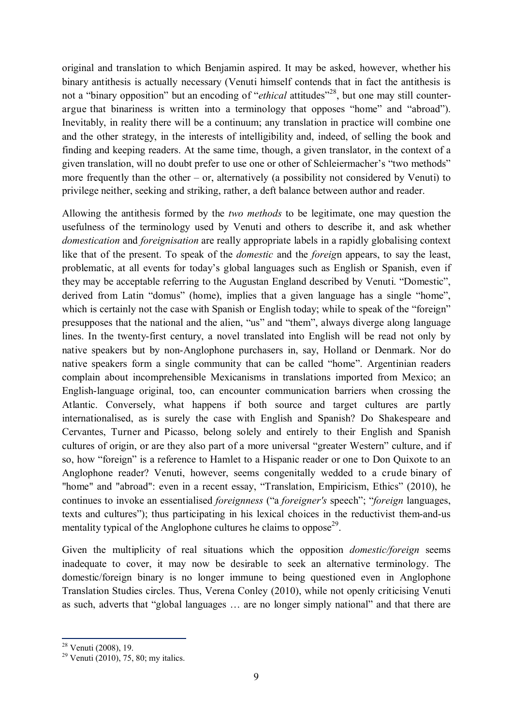original and translation to which Benjamin aspired. It may be asked, however, whether his binary antithesis is actually necessary (Venuti himself contends that in fact the antithesis is not a "binary opposition" but an encoding of "*ethical* attitudes"<sup>[28](#page-8-0)</sup>, but one may still counterargue that binariness is written into a terminology that opposes "home" and "abroad"). Inevitably, in reality there will be a continuum; any translation in practice will combine one and the other strategy, in the interests of intelligibility and, indeed, of selling the book and finding and keeping readers. At the same time, though, a given translator, in the context of a given translation, will no doubt prefer to use one or other of Schleiermacher's "two methods" more frequently than the other – or, alternatively (a possibility not considered by Venuti) to privilege neither, seeking and striking, rather, a deft balance between author and reader.

Allowing the antithesis formed by the *two methods* to be legitimate, one may question the usefulness of the terminology used by Venuti and others to describe it, and ask whether *domestication* and *foreignisation* are really appropriate labels in a rapidly globalising context like that of the present. To speak of the *domestic* and the *foreig*n appears, to say the least, problematic, at all events for today's global languages such as English or Spanish, even if they may be acceptable referring to the Augustan England described by Venuti. "Domestic", derived from Latin "domus" (home), implies that a given language has a single "home", which is certainly not the case with Spanish or English today; while to speak of the "foreign" presupposes that the national and the alien, "us" and "them", always diverge along language lines. In the twenty-first century, a novel translated into English will be read not only by native speakers but by non-Anglophone purchasers in, say, Holland or Denmark. Nor do native speakers form a single community that can be called "home". Argentinian readers complain about incomprehensible Mexicanisms in translations imported from Mexico; an English-language original, too, can encounter communication barriers when crossing the Atlantic. Conversely, what happens if both source and target cultures are partly internationalised, as is surely the case with English and Spanish? Do Shakespeare and Cervantes, Turner and Picasso, belong solely and entirely to their English and Spanish cultures of origin, or are they also part of a more universal "greater Western" culture, and if so, how "foreign" is a reference to Hamlet to a Hispanic reader or one to Don Quixote to an Anglophone reader? Venuti, however, seems congenitally wedded to a crude binary of "home" and "abroad": even in a recent essay, "Translation, Empiricism, Ethics" (2010), he continues to invoke an essentialised *foreignness* ("a *foreigner's* speech"; "*foreign* languages, texts and cultures"); thus participating in his lexical choices in the reductivist them-and-us mentality typical of the Anglophone cultures he claims to oppose<sup>[29](#page-8-1)</sup>.

Given the multiplicity of real situations which the opposition *domestic/foreign* seems inadequate to cover, it may now be desirable to seek an alternative terminology. The domestic/foreign binary is no longer immune to being questioned even in Anglophone Translation Studies circles. Thus, Verena Conley (2010), while not openly criticising Venuti as such, adverts that "global languages … are no longer simply national" and that there are

<span id="page-8-0"></span><sup>&</sup>lt;sup>28</sup> Venuti (2008), 19.

<span id="page-8-1"></span><sup>&</sup>lt;sup>29</sup> Venuti  $(2010)$ , 75, 80; my italics.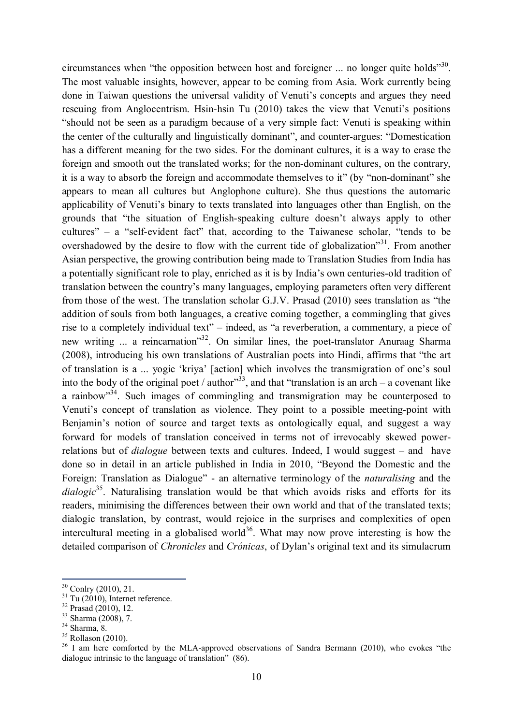circumstances when "the opposition between host and foreigner ... no longer quite holds"<sup>[30](#page-9-0)</sup>. The most valuable insights, however, appear to be coming from Asia. Work currently being done in Taiwan questions the universal validity of Venuti's concepts and argues they need rescuing from Anglocentrism. Hsin-hsin Tu (2010) takes the view that Venuti's positions "should not be seen as a paradigm because of a very simple fact: Venuti is speaking within the center of the culturally and linguistically dominant", and counter-argues: "Domestication has a different meaning for the two sides. For the dominant cultures, it is a way to erase the foreign and smooth out the translated works; for the non-dominant cultures, on the contrary, it is a way to absorb the foreign and accommodate themselves to it" (by "non-dominant" she appears to mean all cultures but Anglophone culture). She thus questions the automaric applicability of Venuti's binary to texts translated into languages other than English, on the grounds that "the situation of English-speaking culture doesn't always apply to other cultures" – a "self-evident fact" that, according to the Taiwanese scholar, "tends to be overshadowed by the desire to flow with the current tide of globalization"<sup>[31](#page-9-1)</sup>. From another Asian perspective, the growing contribution being made to Translation Studies from India has a potentially significant role to play, enriched as it is by India's own centuries-old tradition of translation between the country's many languages, employing parameters often very different from those of the west. The translation scholar G.J.V. Prasad (2010) sees translation as "the addition of souls from both languages, a creative coming together, a commingling that gives rise to a completely individual text" – indeed, as "a reverberation, a commentary, a piece of new writing ... a reincarnation"<sup>[32](#page-9-2)</sup>. On similar lines, the poet-translator Anuraag Sharma (2008), introducing his own translations of Australian poets into Hindi, affirms that "the art of translation is a ... yogic 'kriya' [action] which involves the transmigration of one's soul into the body of the original poet / author<sup>[33](#page-9-3)</sup>, and that "translation is an arch – a covenant like a rainbow"<sup>[34](#page-9-4)</sup>. Such images of commingling and transmigration may be counterposed to Venuti's concept of translation as violence. They point to a possible meeting-point with Benjamin's notion of source and target texts as ontologically equal, and suggest a way forward for models of translation conceived in terms not of irrevocably skewed powerrelations but of *dialogue* between texts and cultures. Indeed, I would suggest – and have done so in detail in an article published in India in 2010, "Beyond the Domestic and the Foreign: Translation as Dialogue" - an alternative terminology of the *naturalising* and the dialogic<sup>[35](#page-9-5)</sup>. Naturalising translation would be that which avoids risks and efforts for its readers, minimising the differences between their own world and that of the translated texts; dialogic translation, by contrast, would rejoice in the surprises and complexities of open intercultural meeting in a globalised world<sup>[36](#page-9-6)</sup>. What may now prove interesting is how the detailed comparison of *Chronicles* and *Crónicas*, of Dylan's original text and its simulacrum

-

 $30$  Conlry (2010), 21.

<span id="page-9-1"></span><span id="page-9-0"></span> $31$  Tu (2010), Internet reference.

<span id="page-9-2"></span> $32$  Prasad (2010), 12.

<span id="page-9-3"></span><sup>&</sup>lt;sup>33</sup> Sharma (2008), 7.

<span id="page-9-4"></span> $34$  Sharma, 8.

<span id="page-9-5"></span> $35$  Rollason (2010).

<span id="page-9-6"></span><sup>&</sup>lt;sup>36</sup> I am here comforted by the MLA-approved observations of Sandra Bermann (2010), who evokes "the dialogue intrinsic to the language of translation" (86).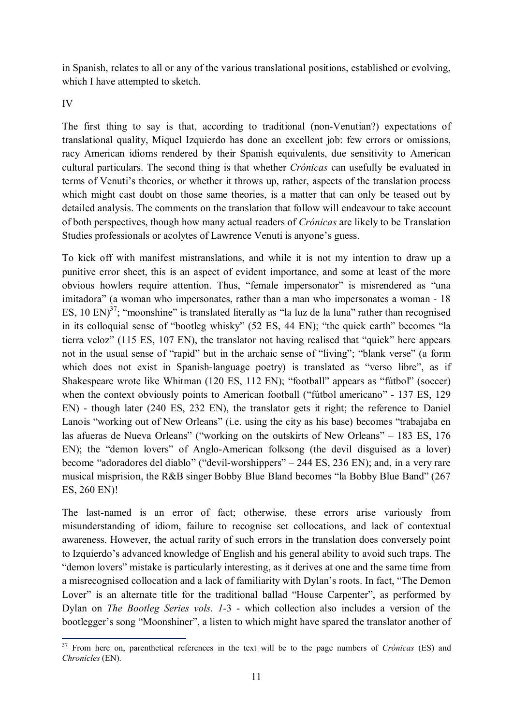in Spanish, relates to all or any of the various translational positions, established or evolving, which I have attempted to sketch.

IV

The first thing to say is that, according to traditional (non-Venutian?) expectations of translational quality, Miquel Izquierdo has done an excellent job: few errors or omissions, racy American idioms rendered by their Spanish equivalents, due sensitivity to American cultural particulars. The second thing is that whether *Crónicas* can usefully be evaluated in terms of Venuti's theories, or whether it throws up, rather, aspects of the translation process which might cast doubt on those same theories, is a matter that can only be teased out by detailed analysis. The comments on the translation that follow will endeavour to take account of both perspectives, though how many actual readers of *Crónicas* are likely to be Translation Studies professionals or acolytes of Lawrence Venuti is anyone's guess.

To kick off with manifest mistranslations, and while it is not my intention to draw up a punitive error sheet, this is an aspect of evident importance, and some at least of the more obvious howlers require attention. Thus, "female impersonator" is misrendered as "una imitadora" (a woman who impersonates, rather than a man who impersonates a woman - 18 ES, 10 EN)<sup>[37](#page-10-0)</sup>; "moonshine" is translated literally as "la luz de la luna" rather than recognised in its colloquial sense of "bootleg whisky" (52 ES, 44 EN); "the quick earth" becomes "la tierra veloz" (115 ES, 107 EN), the translator not having realised that "quick" here appears not in the usual sense of "rapid" but in the archaic sense of "living"; "blank verse" (a form which does not exist in Spanish-language poetry) is translated as "verso libre", as if Shakespeare wrote like Whitman (120 ES, 112 EN); "football" appears as "fútbol" (soccer) when the context obviously points to American football ("fútbol americano" - 137 ES, 129 EN) - though later (240 ES, 232 EN), the translator gets it right; the reference to Daniel Lanois "working out of New Orleans" (i.e. using the city as his base) becomes "trabajaba en las afueras de Nueva Orleans" ("working on the outskirts of New Orleans" – 183 ES, 176 EN); the "demon lovers" of Anglo-American folksong (the devil disguised as a lover) become "adoradores del diablo" ("devil-worshippers" – 244 ES, 236 EN); and, in a very rare musical misprision, the R&B singer Bobby Blue Bland becomes "la Bobby Blue Band" (267 ES, 260 EN)!

The last-named is an error of fact; otherwise, these errors arise variously from misunderstanding of idiom, failure to recognise set collocations, and lack of contextual awareness. However, the actual rarity of such errors in the translation does conversely point to Izquierdo's advanced knowledge of English and his general ability to avoid such traps. The "demon lovers" mistake is particularly interesting, as it derives at one and the same time from a misrecognised collocation and a lack of familiarity with Dylan's roots. In fact, "The Demon Lover" is an alternate title for the traditional ballad "House Carpenter", as performed by Dylan on *The Bootleg Series vols. 1-*3 - which collection also includes a version of the bootlegger's song "Moonshiner", a listen to which might have spared the translator another of

<span id="page-10-0"></span> $\overline{a}$ <sup>37</sup> From here on, parenthetical references in the text will be to the page numbers of *Crónicas* (ES) and *Chronicles* (EN).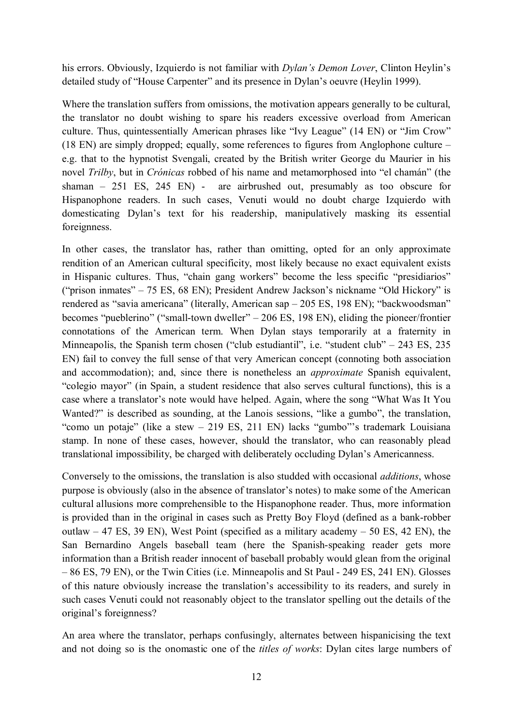his errors. Obviously, Izquierdo is not familiar with *Dylan's Demon Lover*, Clinton Heylin's detailed study of "House Carpenter" and its presence in Dylan's oeuvre (Heylin 1999).

Where the translation suffers from omissions, the motivation appears generally to be cultural, the translator no doubt wishing to spare his readers excessive overload from American culture. Thus, quintessentially American phrases like "Ivy League" (14 EN) or "Jim Crow" (18 EN) are simply dropped; equally, some references to figures from Anglophone culture – e.g. that to the hypnotist Svengali, created by the British writer George du Maurier in his novel *Trilby*, but in *Crónicas* robbed of his name and metamorphosed into "el chamán" (the shaman – 251 ES, 245 EN) - are airbrushed out, presumably as too obscure for Hispanophone readers. In such cases, Venuti would no doubt charge Izquierdo with domesticating Dylan's text for his readership, manipulatively masking its essential foreignness.

In other cases, the translator has, rather than omitting, opted for an only approximate rendition of an American cultural specificity, most likely because no exact equivalent exists in Hispanic cultures. Thus, "chain gang workers" become the less specific "presidiarios" ("prison inmates" – 75 ES, 68 EN); President Andrew Jackson's nickname "Old Hickory" is rendered as "savia americana" (literally, American sap – 205 ES, 198 EN); "backwoodsman" becomes "pueblerino" ("small-town dweller" – 206 ES, 198 EN), eliding the pioneer/frontier connotations of the American term. When Dylan stays temporarily at a fraternity in Minneapolis, the Spanish term chosen ("club estudiantil", i.e. "student club" – 243 ES, 235 EN) fail to convey the full sense of that very American concept (connoting both association and accommodation); and, since there is nonetheless an *approximate* Spanish equivalent, "colegio mayor" (in Spain, a student residence that also serves cultural functions), this is a case where a translator's note would have helped. Again, where the song "What Was It You Wanted?" is described as sounding, at the Lanois sessions, "like a gumbo", the translation, "como un potaje" (like a stew – 219 ES, 211 EN) lacks "gumbo"'s trademark Louisiana stamp. In none of these cases, however, should the translator, who can reasonably plead translational impossibility, be charged with deliberately occluding Dylan's Americanness.

Conversely to the omissions, the translation is also studded with occasional *additions*, whose purpose is obviously (also in the absence of translator's notes) to make some of the American cultural allusions more comprehensible to the Hispanophone reader. Thus, more information is provided than in the original in cases such as Pretty Boy Floyd (defined as a bank-robber outlaw  $-47$  ES, 39 EN), West Point (specified as a military academy  $-50$  ES, 42 EN), the San Bernardino Angels baseball team (here the Spanish-speaking reader gets more information than a British reader innocent of baseball probably would glean from the original – 86 ES, 79 EN), or the Twin Cities (i.e. Minneapolis and St Paul - 249 ES, 241 EN). Glosses of this nature obviously increase the translation's accessibility to its readers, and surely in such cases Venuti could not reasonably object to the translator spelling out the details of the original's foreignness?

An area where the translator, perhaps confusingly, alternates between hispanicising the text and not doing so is the onomastic one of the *titles of works*: Dylan cites large numbers of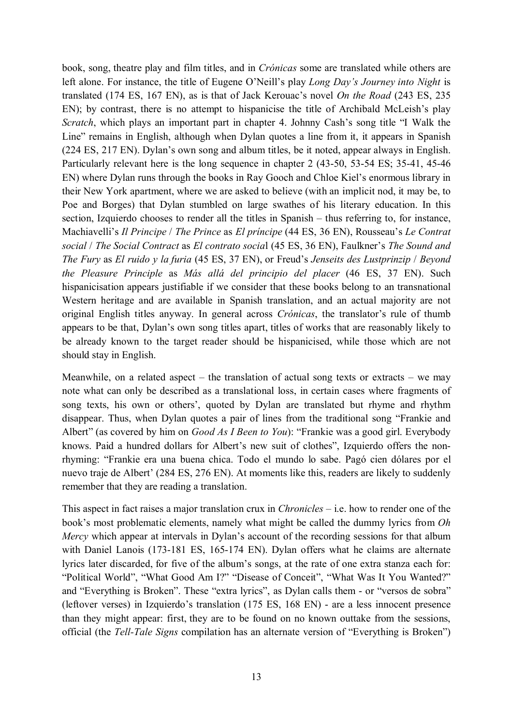book, song, theatre play and film titles, and in *Crónicas* some are translated while others are left alone. For instance, the title of Eugene O'Neill's play *Long Day's Journey into Night* is translated (174 ES, 167 EN), as is that of Jack Kerouac's novel *On the Road* (243 ES, 235 EN); by contrast, there is no attempt to hispanicise the title of Archibald McLeish's play *Scratch*, which plays an important part in chapter 4. Johnny Cash's song title "I Walk the Line" remains in English, although when Dylan quotes a line from it, it appears in Spanish (224 ES, 217 EN). Dylan's own song and album titles, be it noted, appear always in English. Particularly relevant here is the long sequence in chapter 2 (43-50, 53-54 ES; 35-41, 45-46 EN) where Dylan runs through the books in Ray Gooch and Chloe Kiel's enormous library in their New York apartment, where we are asked to believe (with an implicit nod, it may be, to Poe and Borges) that Dylan stumbled on large swathes of his literary education. In this section, Izquierdo chooses to render all the titles in Spanish – thus referring to, for instance, Machiavelli's *Il Principe* / *The Prince* as *El príncipe* (44 ES, 36 EN), Rousseau's *Le Contrat social* / *The Social Contract* as *El contrato socia*l (45 ES, 36 EN), Faulkner's *The Sound and The Fury* as *El ruido y la furia* (45 ES, 37 EN), or Freud's *Jenseits des Lustprinzip* / *Beyond the Pleasure Principle* as *Más allá del principio del placer* (46 ES, 37 EN). Such hispanicisation appears justifiable if we consider that these books belong to an transnational Western heritage and are available in Spanish translation, and an actual majority are not original English titles anyway. In general across *Crónicas*, the translator's rule of thumb appears to be that, Dylan's own song titles apart, titles of works that are reasonably likely to be already known to the target reader should be hispanicised, while those which are not should stay in English.

Meanwhile, on a related aspect – the translation of actual song texts or extracts – we may note what can only be described as a translational loss, in certain cases where fragments of song texts, his own or others', quoted by Dylan are translated but rhyme and rhythm disappear. Thus, when Dylan quotes a pair of lines from the traditional song "Frankie and Albert" (as covered by him on *Good As I Been to You*): "Frankie was a good girl. Everybody knows. Paid a hundred dollars for Albert's new suit of clothes", Izquierdo offers the nonrhyming: "Frankie era una buena chica. Todo el mundo lo sabe. Pagó cien dólares por el nuevo traje de Albert' (284 ES, 276 EN). At moments like this, readers are likely to suddenly remember that they are reading a translation.

This aspect in fact raises a major translation crux in *Chronicles* – i.e. how to render one of the book's most problematic elements, namely what might be called the dummy lyrics from *Oh Mercy* which appear at intervals in Dylan's account of the recording sessions for that album with Daniel Lanois (173-181 ES, 165-174 EN). Dylan offers what he claims are alternate lyrics later discarded, for five of the album's songs, at the rate of one extra stanza each for: "Political World", "What Good Am I?" "Disease of Conceit", "What Was It You Wanted?" and "Everything is Broken". These "extra lyrics", as Dylan calls them - or "versos de sobra" (leftover verses) in Izquierdo's translation (175 ES, 168 EN) - are a less innocent presence than they might appear: first, they are to be found on no known outtake from the sessions, official (the *Tell-Tale Signs* compilation has an alternate version of "Everything is Broken")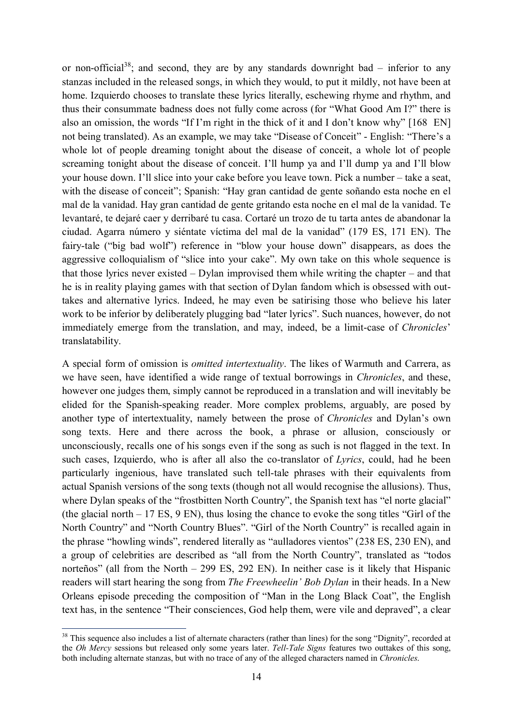or non-official<sup>[38](#page-13-0)</sup>; and second, they are by any standards downright bad – inferior to any stanzas included in the released songs, in which they would, to put it mildly, not have been at home. Izquierdo chooses to translate these lyrics literally, eschewing rhyme and rhythm, and thus their consummate badness does not fully come across (for "What Good Am I?" there is also an omission, the words "If I'm right in the thick of it and I don't know why" [168 EN] not being translated). As an example, we may take "Disease of Conceit" - English: "There's a whole lot of people dreaming tonight about the disease of conceit, a whole lot of people screaming tonight about the disease of conceit. I'll hump ya and I'll dump ya and I'll blow your house down. I'll slice into your cake before you leave town. Pick a number – take a seat, with the disease of conceit"; Spanish: "Hay gran cantidad de gente soñando esta noche en el mal de la vanidad. Hay gran cantidad de gente gritando esta noche en el mal de la vanidad. Te levantaré, te dejaré caer y derribaré tu casa. Cortaré un trozo de tu tarta antes de abandonar la ciudad. Agarra número y siéntate víctima del mal de la vanidad" (179 ES, 171 EN). The fairy-tale ("big bad wolf") reference in "blow your house down" disappears, as does the aggressive colloquialism of "slice into your cake". My own take on this whole sequence is that those lyrics never existed – Dylan improvised them while writing the chapter – and that he is in reality playing games with that section of Dylan fandom which is obsessed with outtakes and alternative lyrics. Indeed, he may even be satirising those who believe his later work to be inferior by deliberately plugging bad "later lyrics". Such nuances, however, do not immediately emerge from the translation, and may, indeed, be a limit-case of *Chronicles*' translatability.

A special form of omission is *omitted intertextuality*. The likes of Warmuth and Carrera, as we have seen, have identified a wide range of textual borrowings in *Chronicles*, and these, however one judges them, simply cannot be reproduced in a translation and will inevitably be elided for the Spanish-speaking reader. More complex problems, arguably, are posed by another type of intertextuality, namely between the prose of *Chronicles* and Dylan's own song texts. Here and there across the book, a phrase or allusion, consciously or unconsciously, recalls one of his songs even if the song as such is not flagged in the text. In such cases, Izquierdo, who is after all also the co-translator of *Lyrics*, could, had he been particularly ingenious, have translated such tell-tale phrases with their equivalents from actual Spanish versions of the song texts (though not all would recognise the allusions). Thus, where Dylan speaks of the "frostbitten North Country", the Spanish text has "el norte glacial" (the glacial north – 17 ES, 9 EN), thus losing the chance to evoke the song titles "Girl of the North Country" and "North Country Blues". "Girl of the North Country" is recalled again in the phrase "howling winds", rendered literally as "aulladores vientos" (238 ES, 230 EN), and a group of celebrities are described as "all from the North Country", translated as "todos norteños" (all from the North – 299 ES, 292 EN). In neither case is it likely that Hispanic readers will start hearing the song from *The Freewheelin' Bob Dylan* in their heads. In a New Orleans episode preceding the composition of "Man in the Long Black Coat", the English text has, in the sentence "Their consciences, God help them, were vile and depraved", a clear

<span id="page-13-0"></span> $\overline{a}$  $38$  This sequence also includes a list of alternate characters (rather than lines) for the song "Dignity", recorded at the *Oh Mercy* sessions but released only some years later. *Tell-Tale Signs* features two outtakes of this song, both including alternate stanzas, but with no trace of any of the alleged characters named in *Chronicles*.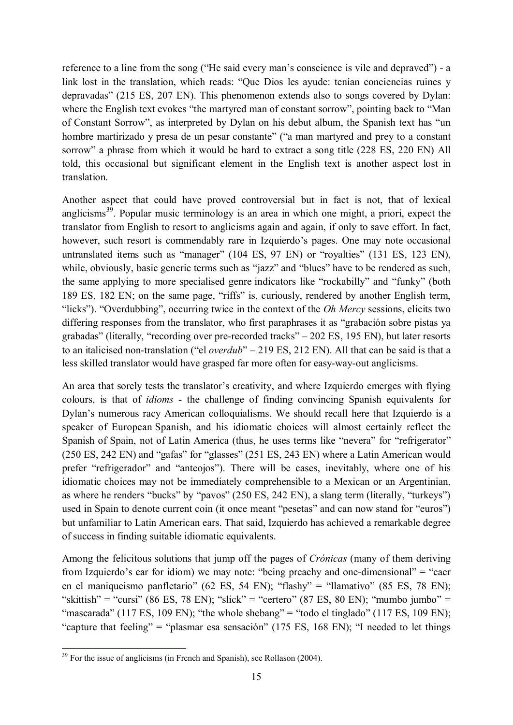reference to a line from the song ("He said every man's conscience is vile and depraved") - a link lost in the translation, which reads: "Que Dios les ayude: tenían conciencias ruines y depravadas" (215 ES, 207 EN). This phenomenon extends also to songs covered by Dylan: where the English text evokes "the martyred man of constant sorrow", pointing back to "Man of Constant Sorrow", as interpreted by Dylan on his debut album, the Spanish text has "un hombre martirizado y presa de un pesar constante" ("a man martyred and prey to a constant sorrow" a phrase from which it would be hard to extract a song title (228 ES, 220 EN) All told, this occasional but significant element in the English text is another aspect lost in translation.

Another aspect that could have proved controversial but in fact is not, that of lexical anglicisms<sup>[39](#page-14-0)</sup>. Popular music terminology is an area in which one might, a priori, expect the translator from English to resort to anglicisms again and again, if only to save effort. In fact, however, such resort is commendably rare in Izquierdo's pages. One may note occasional untranslated items such as "manager" (104 ES, 97 EN) or "royalties" (131 ES, 123 EN), while, obviously, basic generic terms such as "jazz" and "blues" have to be rendered as such, the same applying to more specialised genre indicators like "rockabilly" and "funky" (both 189 ES, 182 EN; on the same page, "riffs" is, curiously, rendered by another English term, "licks"). "Overdubbing", occurring twice in the context of the *Oh Mercy* sessions, elicits two differing responses from the translator, who first paraphrases it as "grabación sobre pistas ya grabadas" (literally, "recording over pre-recorded tracks" – 202 ES, 195 EN), but later resorts to an italicised non-translation ("el *overdub*" – 219 ES, 212 EN). All that can be said is that a less skilled translator would have grasped far more often for easy-way-out anglicisms.

An area that sorely tests the translator's creativity, and where Izquierdo emerges with flying colours, is that of *idioms* - the challenge of finding convincing Spanish equivalents for Dylan's numerous racy American colloquialisms. We should recall here that Izquierdo is a speaker of European Spanish, and his idiomatic choices will almost certainly reflect the Spanish of Spain, not of Latin America (thus, he uses terms like "nevera" for "refrigerator" (250 ES, 242 EN) and "gafas" for "glasses" (251 ES, 243 EN) where a Latin American would prefer "refrigerador" and "anteojos"). There will be cases, inevitably, where one of his idiomatic choices may not be immediately comprehensible to a Mexican or an Argentinian, as where he renders "bucks" by "pavos" (250 ES, 242 EN), a slang term (literally, "turkeys") used in Spain to denote current coin (it once meant "pesetas" and can now stand for "euros") but unfamiliar to Latin American ears. That said, Izquierdo has achieved a remarkable degree of success in finding suitable idiomatic equivalents.

Among the felicitous solutions that jump off the pages of *Crónicas* (many of them deriving from Izquierdo's ear for idiom) we may note: "being preachy and one-dimensional" = "caer en el maniqueismo panfletario" (62 ES, 54 EN); "flashy" = "llamativo" (85 ES, 78 EN); "skittish" = "cursi" (86 ES, 78 EN); "slick" = "certero" (87 ES, 80 EN); "mumbo jumbo" = "mascarada" (117 ES, 109 EN); "the whole shebang" = "todo el tinglado" (117 ES, 109 EN); "capture that feeling" = "plasmar esa sensación" (175 ES, 168 EN); "I needed to let things

<span id="page-14-0"></span><sup>-</sup><sup>39</sup> For the issue of anglicisms (in French and Spanish), see Rollason (2004).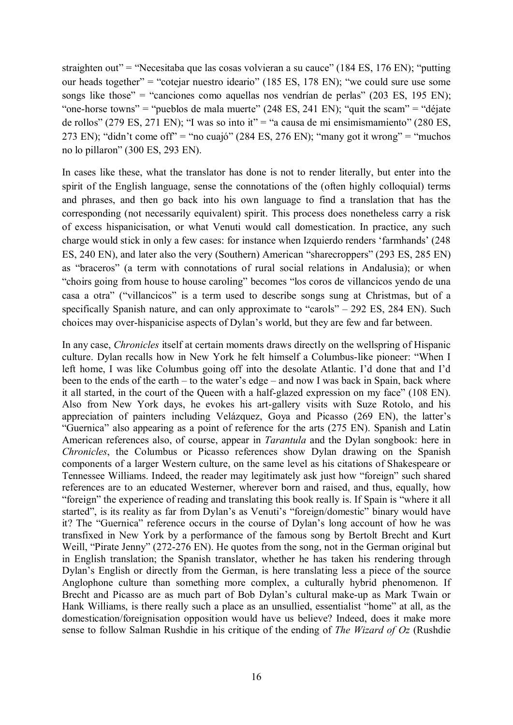straighten out" = "Necesitaba que las cosas volvieran a su cauce" (184 ES, 176 EN); "putting our heads together" = "cotejar nuestro ideario" (185 ES, 178 EN); "we could sure use some songs like those" = "canciones como aquellas nos vendrían de perlas" (203 ES, 195 EN); "one-horse towns" = "pueblos de mala muerte" (248 ES, 241 EN); "quit the scam" = "déjate" de rollos" (279 ES, 271 EN); "I was so into it" = "a causa de mi ensimismamiento" (280 ES, 273 EN); "didn't come off" = "no cuajó" (284 ES, 276 EN); "many got it wrong" = "muchos" no lo pillaron" (300 ES, 293 EN).

In cases like these, what the translator has done is not to render literally, but enter into the spirit of the English language, sense the connotations of the (often highly colloquial) terms and phrases, and then go back into his own language to find a translation that has the corresponding (not necessarily equivalent) spirit. This process does nonetheless carry a risk of excess hispanicisation, or what Venuti would call domestication. In practice, any such charge would stick in only a few cases: for instance when Izquierdo renders 'farmhands' (248 ES, 240 EN), and later also the very (Southern) American "sharecroppers" (293 ES, 285 EN) as "braceros" (a term with connotations of rural social relations in Andalusia); or when "choirs going from house to house caroling" becomes "los coros de villancicos yendo de una casa a otra" ("villancicos" is a term used to describe songs sung at Christmas, but of a specifically Spanish nature, and can only approximate to "carols" – 292 ES, 284 EN). Such choices may over-hispanicise aspects of Dylan's world, but they are few and far between.

In any case, *Chronicles* itself at certain moments draws directly on the wellspring of Hispanic culture. Dylan recalls how in New York he felt himself a Columbus-like pioneer: "When I left home, I was like Columbus going off into the desolate Atlantic. I'd done that and I'd been to the ends of the earth – to the water's edge – and now I was back in Spain, back where it all started, in the court of the Queen with a half-glazed expression on my face" (108 EN). Also from New York days, he evokes his art-gallery visits with Suze Rotolo, and his appreciation of painters including Velázquez, Goya and Picasso (269 EN), the latter's "Guernica" also appearing as a point of reference for the arts (275 EN). Spanish and Latin American references also, of course, appear in *Tarantula* and the Dylan songbook: here in *Chronicles*, the Columbus or Picasso references show Dylan drawing on the Spanish components of a larger Western culture, on the same level as his citations of Shakespeare or Tennessee Williams. Indeed, the reader may legitimately ask just how "foreign" such shared references are to an educated Westerner, wherever born and raised, and thus, equally, how "foreign" the experience of reading and translating this book really is. If Spain is "where it all started", is its reality as far from Dylan's as Venuti's "foreign/domestic" binary would have it? The "Guernica" reference occurs in the course of Dylan's long account of how he was transfixed in New York by a performance of the famous song by Bertolt Brecht and Kurt Weill, "Pirate Jenny" (272-276 EN). He quotes from the song, not in the German original but in English translation; the Spanish translator, whether he has taken his rendering through Dylan's English or directly from the German, is here translating less a piece of the source Anglophone culture than something more complex, a culturally hybrid phenomenon. If Brecht and Picasso are as much part of Bob Dylan's cultural make-up as Mark Twain or Hank Williams, is there really such a place as an unsullied, essentialist "home" at all, as the domestication/foreignisation opposition would have us believe? Indeed, does it make more sense to follow Salman Rushdie in his critique of the ending of *The Wizard of Oz* (Rushdie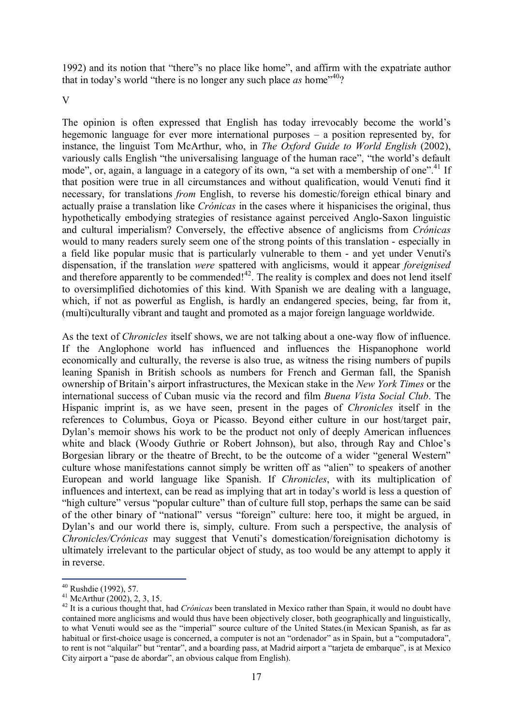1992) and its notion that "there"s no place like home", and affirm with the expatriate author that in today's world "there is no longer any such place  $as$  home"<sup>[40](#page-16-0)</sup>?

V

The opinion is often expressed that English has today irrevocably become the world's hegemonic language for ever more international purposes – a position represented by, for instance, the linguist Tom McArthur, who, in *The Oxford Guide to World English* (2002), variously calls English "the universalising language of the human race", "the world's default mode", or, again, a language in a category of its own, "a set with a membership of one".<sup>[41](#page-16-1)</sup> If that position were true in all circumstances and without qualification, would Venuti find it necessary, for translations *from* English, to reverse his domestic/foreign ethical binary and actually praise a translation like *Crónicas* in the cases where it hispanicises the original, thus hypothetically embodying strategies of resistance against perceived Anglo-Saxon linguistic and cultural imperialism? Conversely, the effective absence of anglicisms from *Crónicas*  would to many readers surely seem one of the strong points of this translation - especially in a field like popular music that is particularly vulnerable to them - and yet under Venuti's dispensation, if the translation *were* spattered with anglicisms, would it appear *foreignised* and therefore apparently to be commended!<sup>[42](#page-16-2)</sup>. The reality is complex and does not lend itself to oversimplified dichotomies of this kind. With Spanish we are dealing with a language, which, if not as powerful as English, is hardly an endangered species, being, far from it, (multi)culturally vibrant and taught and promoted as a major foreign language worldwide.

As the text of *Chronicles* itself shows, we are not talking about a one-way flow of influence. If the Anglophone world has influenced and influences the Hispanophone world economically and culturally, the reverse is also true, as witness the rising numbers of pupils leaning Spanish in British schools as numbers for French and German fall, the Spanish ownership of Britain's airport infrastructures, the Mexican stake in the *New York Times* or the international success of Cuban music via the record and film *Buena Vista Social Club*. The Hispanic imprint is, as we have seen, present in the pages of *Chronicles* itself in the references to Columbus, Goya or Picasso. Beyond either culture in our host/target pair, Dylan's memoir shows his work to be the product not only of deeply American influences white and black (Woody Guthrie or Robert Johnson), but also, through Ray and Chloe's Borgesian library or the theatre of Brecht, to be the outcome of a wider "general Western" culture whose manifestations cannot simply be written off as "alien" to speakers of another European and world language like Spanish. If *Chronicles*, with its multiplication of influences and intertext, can be read as implying that art in today's world is less a question of "high culture" versus "popular culture" than of culture full stop, perhaps the same can be said of the other binary of "national" versus "foreign" culture: here too, it might be argued, in Dylan's and our world there is, simply, culture. From such a perspective, the analysis of *Chronicles/Crónicas* may suggest that Venuti's domestication/foreignisation dichotomy is ultimately irrelevant to the particular object of study, as too would be any attempt to apply it in reverse.

-

 $40$  Rushdie (1992), 57.

<span id="page-16-1"></span><span id="page-16-0"></span> $41$  McArthur (2002), 2, 3, 15.

<span id="page-16-2"></span><sup>42</sup> It is a curious thought that, had *Crónicas* been translated in Mexico rather than Spain, it would no doubt have contained more anglicisms and would thus have been objectively closer, both geographically and linguistically, to what Venuti would see as the "imperial" source culture of the United States.(in Mexican Spanish, as far as habitual or first-choice usage is concerned, a computer is not an "ordenador" as in Spain, but a "computadora", to rent is not "alquilar" but "rentar", and a boarding pass, at Madrid airport a "tarjeta de embarque", is at Mexico City airport a "pase de abordar", an obvious calque from English).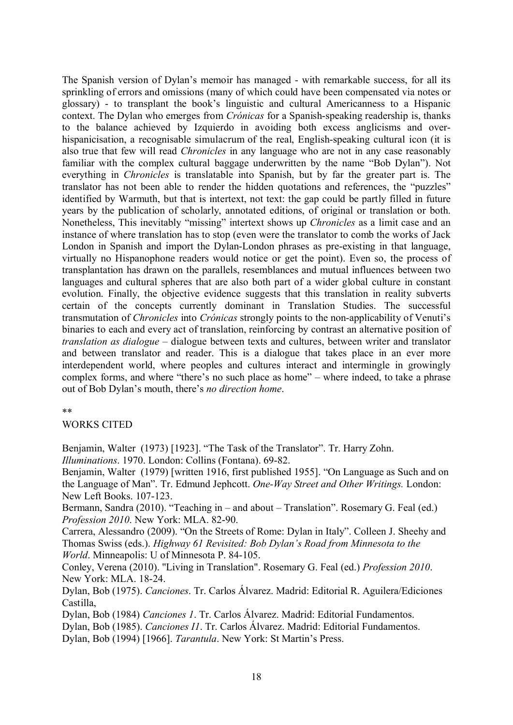The Spanish version of Dylan's memoir has managed - with remarkable success, for all its sprinkling of errors and omissions (many of which could have been compensated via notes or glossary) - to transplant the book's linguistic and cultural Americanness to a Hispanic context. The Dylan who emerges from *Crónicas* for a Spanish-speaking readership is, thanks to the balance achieved by Izquierdo in avoiding both excess anglicisms and overhispanicisation, a recognisable simulacrum of the real, English-speaking cultural icon (it is also true that few will read *Chronicles* in any language who are not in any case reasonably familiar with the complex cultural baggage underwritten by the name "Bob Dylan"). Not everything in *Chronicles* is translatable into Spanish, but by far the greater part is. The translator has not been able to render the hidden quotations and references, the "puzzles" identified by Warmuth, but that is intertext, not text: the gap could be partly filled in future years by the publication of scholarly, annotated editions, of original or translation or both. Nonetheless, This inevitably "missing" intertext shows up *Chronicles* as a limit case and an instance of where translation has to stop (even were the translator to comb the works of Jack London in Spanish and import the Dylan-London phrases as pre-existing in that language, virtually no Hispanophone readers would notice or get the point). Even so, the process of transplantation has drawn on the parallels, resemblances and mutual influences between two languages and cultural spheres that are also both part of a wider global culture in constant evolution. Finally, the objective evidence suggests that this translation in reality subverts certain of the concepts currently dominant in Translation Studies. The successful transmutation of *Chronicles* into *Crónicas* strongly points to the non-applicability of Venuti's binaries to each and every act of translation, reinforcing by contrast an alternative position of *translation as dialogue* – dialogue between texts and cultures, between writer and translator and between translator and reader. This is a dialogue that takes place in an ever more interdependent world, where peoples and cultures interact and intermingle in growingly complex forms, and where "there's no such place as home" – where indeed, to take a phrase out of Bob Dylan's mouth, there's *no direction home*.

## \*\*

WORKS CITED

Benjamin, Walter (1973) [1923]. "The Task of the Translator". Tr. Harry Zohn.

*Illuminations*. 1970. London: Collins (Fontana). 69-82.

Benjamin, Walter (1979) [written 1916, first published 1955]. "On Language as Such and on the Language of Man". Tr. Edmund Jephcott. *One-Way Street and Other Writings.* London: New Left Books. 107-123.

Bermann, Sandra (2010). "Teaching in – and about – Translation". Rosemary G. Feal (ed.) *Profession 2010*. New York: MLA. 82-90.

Carrera, Alessandro (2009). "On the Streets of Rome: Dylan in Italy". Colleen J. Sheehy and Thomas Swiss (eds.). *Highway 61 Revisited: Bob Dylan's Road from Minnesota to the World*. Minneapolis: U of Minnesota P. 84-105.

Conley, Verena (2010). ''Living in Translation". Rosemary G. Feal (ed.) *Profession 2010*. New York: MLA. 18-24.

Dylan, Bob (1975). *Canciones*. Tr. Carlos Álvarez. Madrid: Editorial R. Aguilera/Ediciones Castilla,

Dylan, Bob (1984) *Canciones 1*. Tr. Carlos Álvarez. Madrid: Editorial Fundamentos.

Dylan, Bob (1985). *Canciones I1*. Tr. Carlos Álvarez. Madrid: Editorial Fundamentos.

Dylan, Bob (1994) [1966]. *Tarantula*. New York: St Martin's Press.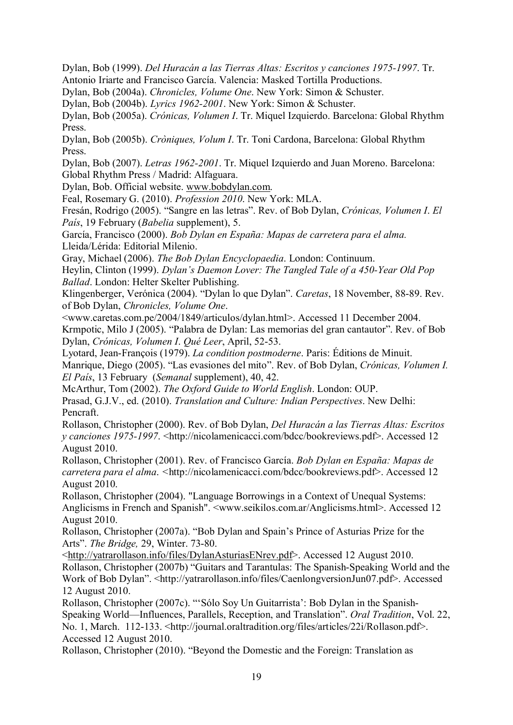Dylan, Bob (1999). *Del Huracán a las Tierras Altas: Escritos y canciones 1975-1997*. Tr. Antonio Iriarte and Francisco García. Valencia: Masked Tortilla Productions.

Dylan, Bob (2004a). *Chronicles, Volume One*. New York: Simon & Schuster.

Dylan, Bob (2004b). *Lyrics 1962-2001*. New York: Simon & Schuster.

Dylan, Bob (2005a). *Crónicas, Volumen I*. Tr. Miquel Izquierdo. Barcelona: Global Rhythm Press.

Dylan, Bob (2005b). *Cròniques, Volum I*. Tr. Toni Cardona, Barcelona: Global Rhythm Press.

Dylan, Bob (2007). *Letras 1962-2001*. Tr. Miquel Izquierdo and Juan Moreno. Barcelona: Global Rhythm Press / Madrid: Alfaguara.

Dylan, Bob. Official website. [www.bobdylan.com.](http://www.bobdylan.com)

Feal, Rosemary G. (2010). *Profession 2010*. New York: MLA.

Fresán, Rodrigo (2005). "Sangre en las letras". Rev. of Bob Dylan, *Crónicas, Volumen I*. *El País*, 19 February (*Babelia* supplement), 5.

García, Francisco (2000). *Bob Dylan en España: Mapas de carretera para el alma.* Lleida/Lérida: Editorial Milenio.

Gray, Michael (2006). *The Bob Dylan Encyclopaedia*. London: Continuum.

Heylin, Clinton (1999). *Dylan's Daemon Lover: The Tangled Tale of a 450-Year Old Pop Ballad*. London: Helter Skelter Publishing.

Klingenberger, Verónica (2004). "Dylan lo que Dylan". *Caretas*, 18 November, 88-89. Rev. of Bob Dylan, *Chronicles, Volume One*.

<www.caretas.com.pe/2004/1849/articulos/dylan.html>. Accessed 11 December 2004. Krmpotic, Milo J (2005). "Palabra de Dylan: Las memorias del gran cantautor". Rev. of Bob Dylan, *Crónicas, Volumen I*. *Qué Leer*, April, 52-53.

Lyotard, Jean-François (1979). *La condition postmoderne*. Paris: Éditions de Minuit. Manrique, Diego (2005). "Las evasiones del mito". Rev. of Bob Dylan, *Crónicas, Volumen I. El País*, 13 February (*Semanal* supplement), 40, 42.

McArthur, Tom (2002). *The Oxford Guide to World English*. London: OUP. Prasad, G.J.V., ed. (2010). *Translation and Culture: Indian Perspectives*. New Delhi:

Pencraft.

Rollason, Christopher (2000). Rev. of Bob Dylan, *Del Huracán a las Tierras Altas: Escritos y canciones 1975-1997*. [<http://nicolamenicacci.com/bdcc/bookreviews.pdf>](http://nicolamenicacci.com/bdcc/bookreviews.pdf). Accessed 12 August 2010.

Rollason, Christopher (2001). Rev. of Francisco García. *Bob Dylan en España: Mapas de carretera para el alma*. *<*[http://nicolamenicacci.com/bdcc/bookreviews.pdf>](http://nicolamenicacci.com/bdcc/bookreviews.pdf). Accessed 12 August 2010.

Rollason, Christopher (2004). "Language Borrowings in a Context of Unequal Systems: Anglicisms in French and Spanish". [<www.seikilos.com.ar/Anglicisms.html>](http://www.seikilos.com.ar/Anglicisms.html). Accessed 12 August 2010.

Rollason, Christopher (2007a). "Bob Dylan and Spain's Prince of Asturias Prize for the Arts". *The Bridge,* 29, Winter. 73-80.

[<http://yatrarollason.info/files/DylanAsturiasENrev.pdf>](http://yatrarollason.info/files/DylanAsturiasENrev.pdf). Accessed 12 August 2010. Rollason, Christopher (2007b) "Guitars and Tarantulas: The Spanish-Speaking World and the Work of Bob Dylan". [<http://yatrarollason.info/files/CaenlongversionJun07.pdf>](http://yatrarollason.info/files/CaenlongversionJun07.pdf). Accessed 12 August 2010.

Rollason, Christopher (2007c). "'Sólo Soy Un Guitarrista': Bob Dylan in the Spanish-Speaking World—Influences, Parallels, Reception, and Translation". *Oral Tradition*, Vol. 22, No. 1, March. 112-133. <http://journal.oraltradition.org/files/articles/22i/Rollason.pdf>. Accessed 12 August 2010.

Rollason, Christopher (2010). "Beyond the Domestic and the Foreign: Translation as